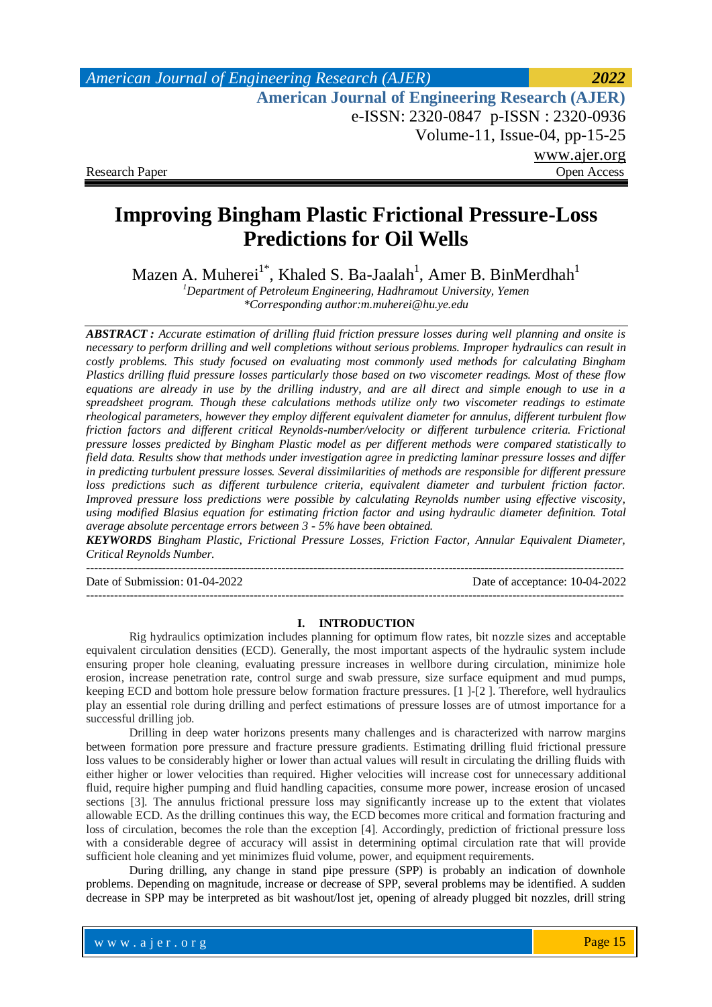# **Improving Bingham Plastic Frictional Pressure-Loss Predictions for Oil Wells**

Mazen A. Muherei $^{1^*}$ , Khaled S. Ba-Jaalah $^1$ , Amer B. BinMerdhah $^1$ 

*<sup>1</sup>Department of Petroleum Engineering, Hadhramout University, Yemen \*Corresponding author:m.muherei@hu.ye.edu*

*ABSTRACT : Accurate estimation of drilling fluid friction pressure losses during well planning and onsite is necessary to perform drilling and well completions without serious problems. Improper hydraulics can result in costly problems. This study focused on evaluating most commonly used methods for calculating Bingham Plastics drilling fluid pressure losses particularly those based on two viscometer readings. Most of these flow equations are already in use by the drilling industry, and are all direct and simple enough to use in a spreadsheet program. Though these calculations methods utilize only two viscometer readings to estimate rheological parameters, however they employ different equivalent diameter for annulus, different turbulent flow friction factors and different critical Reynolds-number/velocity or different turbulence criteria. Frictional pressure losses predicted by Bingham Plastic model as per different methods were compared statistically to field data. Results show that methods under investigation agree in predicting laminar pressure losses and differ in predicting turbulent pressure losses. Several dissimilarities of methods are responsible for different pressure loss predictions such as different turbulence criteria, equivalent diameter and turbulent friction factor. Improved pressure loss predictions were possible by calculating Reynolds number using effective viscosity, using modified Blasius equation for estimating friction factor and using hydraulic diameter definition. Total average absolute percentage errors between 3 - 5% have been obtained.*

*KEYWORDS Bingham Plastic, Frictional Pressure Losses, Friction Factor, Annular Equivalent Diameter, Critical Reynolds Number.*

---------------------------------------------------------------------------------------------------------------------------------------

---------------------------------------------------------------------------------------------------------------------------------------

Date of Submission: 01-04-2022 Date of acceptance: 10-04-2022

### **I. INTRODUCTION**

Rig hydraulics optimization includes planning for optimum flow rates, bit nozzle sizes and acceptable equivalent circulation densities (ECD). Generally, the most important aspects of the hydraulic system include ensuring proper hole cleaning, evaluating pressure increases in wellbore during circulation, minimize hole erosion, increase penetration rate, control surge and swab pressure, size surface equipment and mud pumps, keeping ECD and bottom hole pressure below formation fracture pressures. [1 ]-[2 ]. Therefore, well hydraulics play an essential role during drilling and perfect estimations of pressure losses are of utmost importance for a successful drilling job.

Drilling in deep water horizons presents many challenges and is characterized with narrow margins between formation pore pressure and fracture pressure gradients. Estimating drilling fluid frictional pressure loss values to be considerably higher or lower than actual values will result in circulating the drilling fluids with either higher or lower velocities than required. Higher velocities will increase cost for unnecessary additional fluid, require higher pumping and fluid handling capacities, consume more power, increase erosion of uncased sections [3]. The annulus frictional pressure loss may significantly increase up to the extent that violates allowable ECD. As the drilling continues this way, the ECD becomes more critical and formation fracturing and loss of circulation, becomes the role than the exception [4]. Accordingly, prediction of frictional pressure loss with a considerable degree of accuracy will assist in determining optimal circulation rate that will provide sufficient hole cleaning and yet minimizes fluid volume, power, and equipment requirements.

During drilling, any change in stand pipe pressure (SPP) is probably an indication of downhole problems. Depending on magnitude, increase or decrease of SPP, several problems may be identified. A sudden decrease in SPP may be interpreted as bit washout/lost jet, opening of already plugged bit nozzles, drill string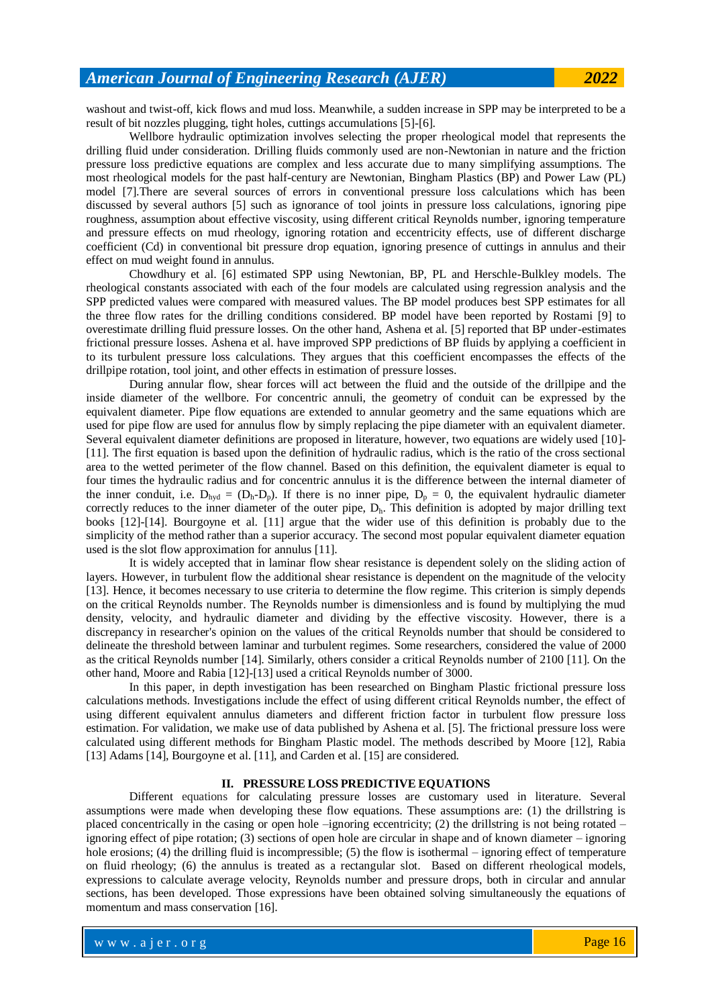washout and twist-off, kick flows and mud loss. Meanwhile, a sudden increase in SPP may be interpreted to be a result of bit nozzles plugging, tight holes, cuttings accumulations [5]-[6].

Wellbore hydraulic optimization involves selecting the proper rheological model that represents the drilling fluid under consideration. Drilling fluids commonly used are non-Newtonian in nature and the friction pressure loss predictive equations are complex and less accurate due to many simplifying assumptions. The most rheological models for the past half-century are Newtonian, Bingham Plastics (BP) and Power Law (PL) model [7].There are several sources of errors in conventional pressure loss calculations which has been discussed by several authors [5] such as ignorance of tool joints in pressure loss calculations, ignoring pipe roughness, assumption about effective viscosity, using different critical Reynolds number, ignoring temperature and pressure effects on mud rheology, ignoring rotation and eccentricity effects, use of different discharge coefficient (Cd) in conventional bit pressure drop equation, ignoring presence of cuttings in annulus and their effect on mud weight found in annulus.

Chowdhury et al. [6] estimated SPP using Newtonian, BP, PL and Herschle-Bulkley models. The rheological constants associated with each of the four models are calculated using regression analysis and the SPP predicted values were compared with measured values. The BP model produces best SPP estimates for all the three flow rates for the drilling conditions considered. BP model have been reported by Rostami [9] to overestimate drilling fluid pressure losses. On the other hand, Ashena et al. [5] reported that BP under-estimates frictional pressure losses. Ashena et al. have improved SPP predictions of BP fluids by applying a coefficient in to its turbulent pressure loss calculations. They argues that this coefficient encompasses the effects of the drillpipe rotation, tool joint, and other effects in estimation of pressure losses.

During annular flow, shear forces will act between the fluid and the outside of the drillpipe and the inside diameter of the wellbore. For concentric annuli, the geometry of conduit can be expressed by the equivalent diameter. Pipe flow equations are extended to annular geometry and the same equations which are used for pipe flow are used for annulus flow by simply replacing the pipe diameter with an equivalent diameter. Several equivalent diameter definitions are proposed in literature, however, two equations are widely used [10]-[11]. The first equation is based upon the definition of hydraulic radius, which is the ratio of the cross sectional area to the wetted perimeter of the flow channel. Based on this definition, the equivalent diameter is equal to four times the hydraulic radius and for concentric annulus it is the difference between the internal diameter of the inner conduit, i.e.  $D_{\text{hvd}} = (D_{\text{h}}-D_{\text{p}})$ . If there is no inner pipe,  $D_{\text{p}} = 0$ , the equivalent hydraulic diameter correctly reduces to the inner diameter of the outer pipe,  $D_h$ . This definition is adopted by major drilling text books [12]-[14]. Bourgoyne et al. [11] argue that the wider use of this definition is probably due to the simplicity of the method rather than a superior accuracy. The second most popular equivalent diameter equation used is the slot flow approximation for annulus [11].

It is widely accepted that in laminar flow shear resistance is dependent solely on the sliding action of layers. However, in turbulent flow the additional shear resistance is dependent on the magnitude of the velocity [13]. Hence, it becomes necessary to use criteria to determine the flow regime. This criterion is simply depends on the critical Reynolds number. The Reynolds number is dimensionless and is found by multiplying the mud density, velocity, and hydraulic diameter and dividing by the effective viscosity. However, there is a discrepancy in researcher's opinion on the values of the critical Reynolds number that should be considered to delineate the threshold between laminar and turbulent regimes. Some researchers, considered the value of 2000 as the critical Reynolds number [14]. Similarly, others consider a critical Reynolds number of 2100 [11]. On the other hand, Moore and Rabia [12]-[13] used a critical Reynolds number of 3000.

In this paper, in depth investigation has been researched on Bingham Plastic frictional pressure loss calculations methods. Investigations include the effect of using different critical Reynolds number, the effect of using different equivalent annulus diameters and different friction factor in turbulent flow pressure loss estimation. For validation, we make use of data published by Ashena et al. [5]. The frictional pressure loss were calculated using different methods for Bingham Plastic model. The methods described by Moore [12], Rabia [13] Adams [14], Bourgoyne et al. [11], and Carden et al. [15] are considered.

### **II. PRESSURE LOSS PREDICTIVE EQUATIONS**

Different equations for calculating pressure losses are customary used in literature. Several assumptions were made when developing these flow equations. These assumptions are: (1) the drillstring is placed concentrically in the casing or open hole –ignoring eccentricity; (2) the drillstring is not being rotated – ignoring effect of pipe rotation; (3) sections of open hole are circular in shape and of known diameter – ignoring hole erosions; (4) the drilling fluid is incompressible; (5) the flow is isothermal – ignoring effect of temperature on fluid rheology; (6) the annulus is treated as a rectangular slot. Based on different rheological models, expressions to calculate average velocity, Reynolds number and pressure drops, both in circular and annular sections, has been developed. Those expressions have been obtained solving simultaneously the equations of momentum and mass conservation [16].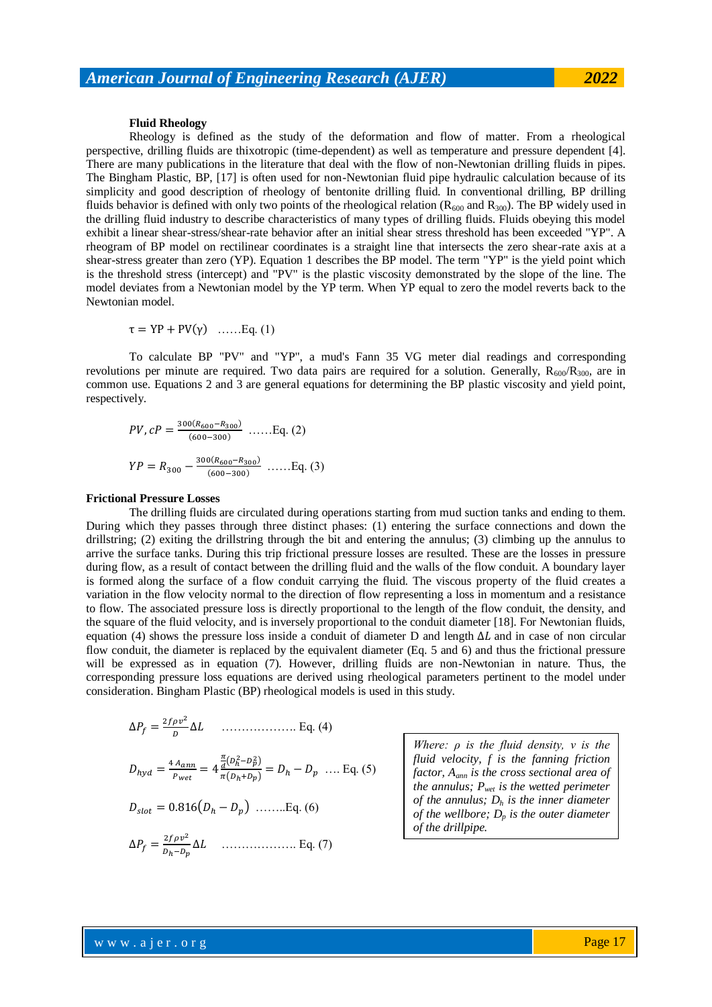## **Fluid Rheology**

Rheology is defined as the study of the deformation and flow of matter. From a rheological perspective, drilling fluids are thixotropic (time-dependent) as well as temperature and pressure dependent [4]. There are many publications in the literature that deal with the flow of non-Newtonian drilling fluids in pipes. The Bingham Plastic, BP, [17] is often used for non-Newtonian fluid pipe hydraulic calculation because of its simplicity and good description of rheology of bentonite drilling fluid. In conventional drilling, BP drilling fluids behavior is defined with only two points of the rheological relation ( $R_{600}$  and  $R_{300}$ ). The BP widely used in the drilling fluid industry to describe characteristics of many types of drilling fluids. Fluids obeying this model exhibit a linear shear-stress/shear-rate behavior after an initial shear stress threshold has been exceeded "YP". A rheogram of BP model on rectilinear coordinates is a straight line that intersects the zero shear-rate axis at a shear-stress greater than zero (YP). Equation 1 describes the BP model. The term "YP" is the yield point which is the threshold stress (intercept) and "PV" is the plastic viscosity demonstrated by the slope of the line. The model deviates from a Newtonian model by the YP term. When YP equal to zero the model reverts back to the Newtonian model.

$$
\tau = \text{YP} + \text{PV}(\gamma) \quad \dots \text{Eq. (1)}
$$

To calculate BP "PV" and "YP", a mud's Fann 35 VG meter dial readings and corresponding revolutions per minute are required. Two data pairs are required for a solution. Generally,  $R_{600}/R_{300}$ , are in common use. Equations 2 and 3 are general equations for determining the BP plastic viscosity and yield point, respectively.

*PV*, 
$$
cP = \frac{300(R_{600} - R_{300})}{(600 - 300)}
$$
 ......*Eq*. (2)  
 $YP = R_{300} - \frac{300(R_{600} - R_{300})}{(600 - 300)}$  .....*Eq*. (3)

#### **Frictional Pressure Losses**

The drilling fluids are circulated during operations starting from mud suction tanks and ending to them. During which they passes through three distinct phases: (1) entering the surface connections and down the drillstring; (2) exiting the drillstring through the bit and entering the annulus; (3) climbing up the annulus to arrive the surface tanks. During this trip frictional pressure losses are resulted. These are the losses in pressure during flow, as a result of contact between the drilling fluid and the walls of the flow conduit. A boundary layer is formed along the surface of a flow conduit carrying the fluid. The viscous property of the fluid creates a variation in the flow velocity normal to the direction of flow representing a loss in momentum and a resistance to flow. The associated pressure loss is directly proportional to the length of the flow conduit, the density, and the square of the fluid velocity, and is inversely proportional to the conduit diameter [18]. For Newtonian fluids, equation (4) shows the pressure loss inside a conduit of diameter D and length  $\Delta L$  and in case of non circular flow conduit, the diameter is replaced by the equivalent diameter (Eq. 5 and 6) and thus the frictional pressure will be expressed as in equation (7). However, drilling fluids are non-Newtonian in nature. Thus, the corresponding pressure loss equations are derived using rheological parameters pertinent to the model under consideration. Bingham Plastic (BP) rheological models is used in this study.

 ………………. Eq. (4)

$$
D_{hyd} = \frac{4 A_{ann}}{P_{wet}} = 4 \frac{\frac{\pi}{d} (D_h^2 - D_p^2)}{\pi (D_h + D_p)} = D_h - D_p \dots
$$
 Eq. (5)

$$
D_{slot} = 0.816(D_h - D_p) \ \ldots \ldots \text{Eq. (6)}
$$

 ………………. Eq. (7)

*Where: ρ is the fluid density, v is the fluid velocity, f is the fanning friction factor, Aann is the cross sectional area of the annulus; Pwet is the wetted perimeter of the annulus; D<sup>h</sup> is the inner diameter of the wellbore; D<sup>p</sup> is the outer diameter of the drillpipe.*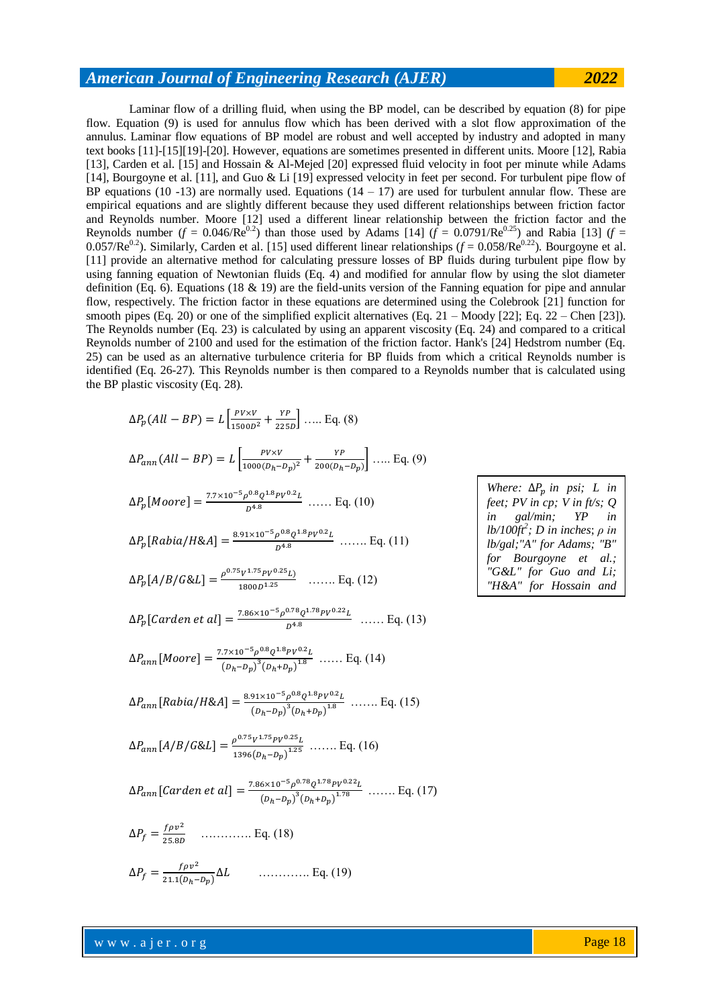Laminar flow of a drilling fluid, when using the BP model, can be described by equation (8) for pipe flow. Equation (9) is used for annulus flow which has been derived with a slot flow approximation of the annulus. Laminar flow equations of BP model are robust and well accepted by industry and adopted in many text books [11]-[15][19]-[20]. However, equations are sometimes presented in different units. Moore [12], Rabia [13], Carden et al. [15] and Hossain & Al-Mejed [20] expressed fluid velocity in foot per minute while Adams [14], Bourgoyne et al. [11], and Guo & Li [19] expressed velocity in feet per second. For turbulent pipe flow of BP equations (10 -13) are normally used. Equations  $(14 - 17)$  are used for turbulent annular flow. These are empirical equations and are slightly different because they used different relationships between friction factor and Reynolds number. Moore [12] used a different linear relationship between the friction factor and the Reynolds number  $(f = 0.046/Re^{0.2})$  than those used by Adams [14]  $(f = 0.0791/Re^{0.25})$  and Rabia [13]  $(f = 0.0791/Re^{0.25})$ 0.057/Re<sup>0.2</sup>). Similarly, Carden et al. [15] used different linear relationships ( $f = 0.058$ /Re<sup>0.22</sup>). Bourgoyne et al. [11] provide an alternative method for calculating pressure losses of BP fluids during turbulent pipe flow by using fanning equation of Newtonian fluids (Eq. 4) and modified for annular flow by using the slot diameter definition (Eq. 6). Equations (18  $\&$  19) are the field-units version of the Fanning equation for pipe and annular flow, respectively. The friction factor in these equations are determined using the Colebrook [21] function for smooth pipes (Eq. 20) or one of the simplified explicit alternatives (Eq.  $21 -$ Moody [22]; Eq.  $22 -$ Chen [23]). The Reynolds number (Eq. 23) is calculated by using an apparent viscosity (Eq. 24) and compared to a critical Reynolds number of 2100 and used for the estimation of the friction factor. Hank's [24] Hedstrom number (Eq. 25) can be used as an alternative turbulence criteria for BP fluids from which a critical Reynolds number is identified (Eq. 26-27). This Reynolds number is then compared to a Reynolds number that is calculated using the BP plastic viscosity (Eq. 28).

$$
\Delta P_p(All - BP) = L \left[ \frac{PV \times V}{1500D^2} + \frac{YP}{225D} \right] \dots Eq. (8)
$$
\n
$$
\Delta P_{ann}(All - BP) = L \left[ \frac{PV \times V}{1000(D_h - D_p)^2} + \frac{YP}{200(D_h - D_p)} \right] \dots Eq. (9)
$$
\n
$$
\Delta P_p[Moore] = \frac{7.7 \times 10^{-5} \rho^{0.8} Q^{1.8} PV^{0.2} L}{D^{4.8}} \dots Eq. (10)
$$
\n
$$
\Delta P_p[Rabia/HAA] = \frac{8.91 \times 10^{-5} \rho^{0.8} Q^{1.8} PV^{0.2} L}{D^{4.8}} \dots Eq. (11)
$$
\n
$$
\Delta P_p[Rabia/HAA] = \frac{\frac{8.91 \times 10^{-5} \rho^{0.8} Q^{1.8} PV^{0.2} L}{1800D^{1.25}} \dots Eq. (12)
$$
\n
$$
\Delta P_p[Carden et al] = \frac{7.86 \times 10^{-5} \rho^{0.78} Q^{1.78} PV^{0.2} L}{D^{4.8}} \dots Eq. (13)
$$
\n
$$
\Delta P_{ann}[Moore] = \frac{7.7 \times 10^{-5} \rho^{0.8} Q^{1.8} PV^{0.2} L}{(D_h - D_p)^3 (D_h + D_p)^{1.8}} \dots Eq. (14)
$$
\n
$$
\Delta P_{ann}[Rabia/HAA] = \frac{8.91 \times 10^{-5} \rho^{0.8} Q^{1.8} PV^{0.2} L}{(D_h - D_p)^3 (D_h + D_p)^{1.8}} \dots Eq. (15)
$$
\n
$$
\Delta P_{ann}[A/B/G&L] = \frac{\rho^{0.75} V^{1.75} PV^{0.25} L}{1396 (D_h - D_p)^{1.25}} \dots Eq. (16)
$$
\n
$$
\Delta P_{ann}[Carden et al] = \frac{7.86 \times 10^{-5} \rho^{0.78} Q^{1.78} PV^{0.22} L}{(D_h - D_p)^3 (D_h + D_p)^{1.78}} \dots Eq. (17)
$$
\n
$$
\Delta P_f = \frac{f \rho v^
$$

*Where:*  $\Delta P_p$  *in psi; L in feet; PV in cp; V in ft/s; Q in gal/min; YP in lb/100ft<sup>2</sup> ; D in inches*; *ρ in lb/gal;"A" for Adams; "B" for Bourgoyne et al.; "G&L" for Guo and Li; "H&A" for Hossain and* 

*Al-Mejed.*

www.ajer.org

 $\overline{\mathbf{c}}$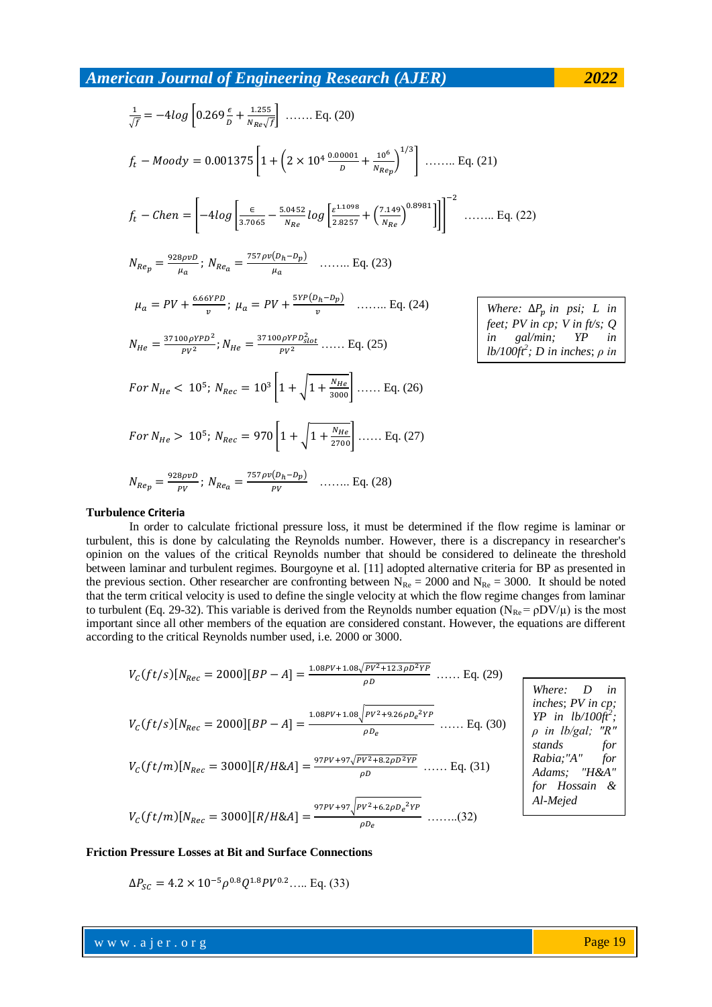$$
\frac{1}{\sqrt{f}} = -4\log\left[0.269\frac{\epsilon}{b} + \frac{1.255}{N_{Re}\sqrt{f}}\right] \dots \dots \text{ Eq. (20)}
$$
\n
$$
f_{t} - Moody = 0.001375\left[1 + \left(2 \times 10^{4} \frac{0.00001}{b} + \frac{10^{6}}{N_{Re}}\right)^{1/3}\right] \dots \dots \text{ Eq. (21)}
$$
\n
$$
f_{t} - Chen = \left[-4\log\left[\frac{\epsilon}{3.7065} - \frac{5.0452}{N_{Re}}\log\left[\frac{\epsilon^{1.1098}}{2.8257} + \left(\frac{7.149}{N_{Re}}\right)^{0.8981}]\right]\right]^{-2} \dots \dots \text{ Eq. (22)}
$$
\n
$$
N_{Re_{p}} = \frac{928\rho vD}{\mu_{a}}, \ N_{Re_{a}} = \frac{757\rho v(D_{h} - D_{p})}{\mu_{a}} \dots \dots \text{ Eq. (23)}
$$
\n
$$
\mu_{a} = PV + \frac{6.66\gamma P D}{v}; \ \mu_{a} = PV + \frac{5\gamma P(D_{h} - D_{p})}{v} \dots \dots \text{ Eq. (24)}
$$
\n
$$
N_{He} = \frac{37100\rho V P D^{2}}{\rho V^{2}}; \ N_{He} = \frac{37100\rho V P D^{2}_{slot}}{\rho V^{2}}; \dots \text{ Eq. (25)}
$$
\n
$$
For \ N_{He} < 10^{5}; \ N_{Rec} = 10^{3} \left[1 + \sqrt{1 + \frac{N_{He}}{3000}}\right] \dots \text{ Eq. (26)}
$$
\n
$$
For \ N_{He} > 10^{5}; \ N_{Rec} = 970 \left[1 + \sqrt{1 + \frac{N_{He}}{2700}}\right] \dots \text{ Eq. (27)}
$$
\n
$$
N_{Re_{p}} = \frac{928\rho vD}{\rho V}; \ N_{Re_{a}} = \frac{757\rho v(D_{h} - D_{p})}{\rho V} \dots \text{ Eq. (28)}
$$

#### **Turbulence Criteria**

In order to calculate frictional pressure loss, it must be determined if the flow regime is laminar or turbulent, this is done by calculating the Reynolds number. However, there is a discrepancy in researcher's opinion on the values of the critical Reynolds number that should be considered to delineate the threshold between laminar and turbulent regimes. Bourgoyne et al. [11] adopted alternative criteria for BP as presented in the previous section. Other researcher are confronting between  $N_{\text{Re}} = 2000$  and  $N_{\text{Re}} = 3000$ . It should be noted that the term critical velocity is used to define the single velocity at which the flow regime changes from laminar to turbulent (Eq. 29-32). This variable is derived from the Reynolds number equation ( $N_{\text{Re}} = \rho DV/\mu$ ) is the most important since all other members of the equation are considered constant. However, the equations are different according to the critical Reynolds number used, i.e. 2000 or 3000.

$$
V_C(f t/s)[N_{Rec} = 2000][BP - A] = \frac{1.08PV + 1.08/PV^2 + 12.3\rho D^2YP}{\rho D} \dots \dots \text{Eq. (29)}
$$
  
1.08PV + 1.08 $\sqrt{PV^2 + 9.26\rho D_e^2YP}$ 

$$
V_C (ft/s)[N_{Rec} = 2000][BP - A] = \frac{1}{\rho D_e} \dots [Eq. (30)]
$$

$$
V_c (ft/m)[N_{Rec} = 3000][R/H \& A] = \frac{97PV + 97\sqrt{PV^2 + 8.2\rho D^2 Y P}}{\rho D} \dots \text{Eq. (31)}
$$

$$
V_c (ft/m)[N_{Rec} = 3000][R/H \& A] = \frac{97PV + 97\sqrt{PV^2 + 6.2\rho D_e^2 Y P}}{\rho D_e}
$$
 ......(32)

*Where: D in inches*; *PV in cp; YP in lb/100ft<sup>2</sup> ; ρ in lb/gal; "R" stands for Rabia;"A" for Adams; "H&A" for Hossain & Al-Mejed*

#### **Friction Pressure Losses at Bit and Surface Connections**

$$
\Delta P_{SC} = 4.2 \times 10^{-5} \rho^{0.8} Q^{1.8} P V^{0.2} \dots
$$
 Eq. (33)

www.ajer.org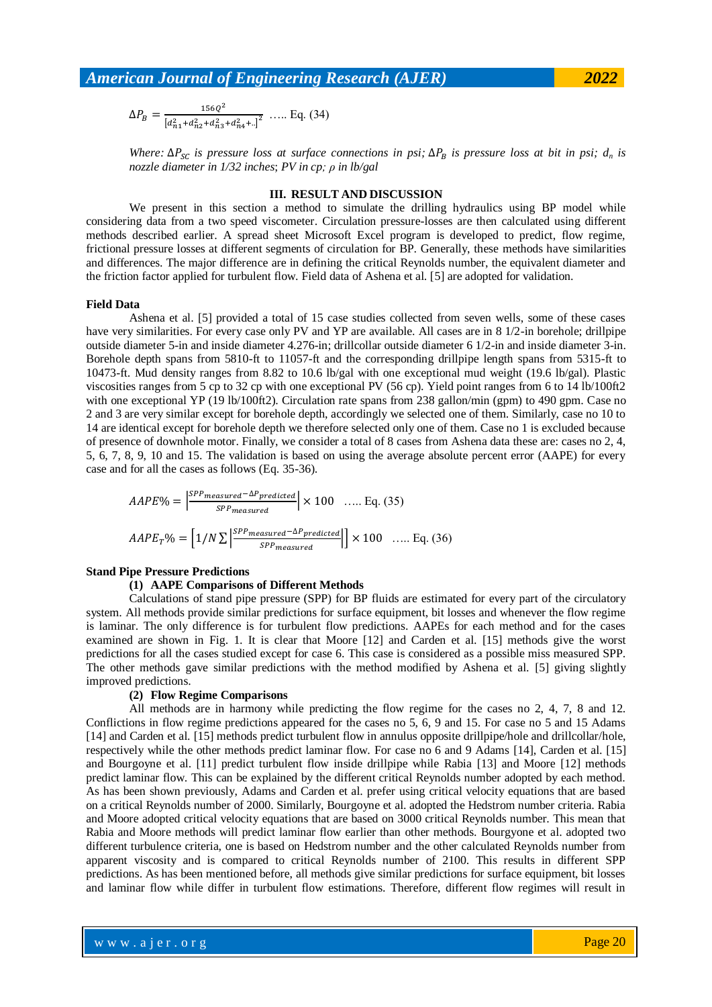$$
\Delta P_B = \frac{156Q^2}{\left[a_{n1}^2 + a_{n2}^2 + a_{n3}^2 + a_{n4}^2 + \ldots\right]^2} \quad \dots \quad \text{Eq. (34)}
$$

*Where:*  $\Delta P_{SC}$  *is pressure loss at surface connections in psi;*  $\Delta P_R$  *is pressure loss at bit in psi;*  $d_n$  *is nozzle diameter in 1/32 inches*; *PV in cp; ρ in lb/gal*

### **III. RESULT AND DISCUSSION**

We present in this section a method to simulate the drilling hydraulics using BP model while considering data from a two speed viscometer. Circulation pressure-losses are then calculated using different methods described earlier. A spread sheet Microsoft Excel program is developed to predict, flow regime, frictional pressure losses at different segments of circulation for BP. Generally, these methods have similarities and differences. The major difference are in defining the critical Reynolds number, the equivalent diameter and the friction factor applied for turbulent flow. Field data of Ashena et al. [5] are adopted for validation.

#### **Field Data**

Ashena et al. [5] provided a total of 15 case studies collected from seven wells, some of these cases have very similarities. For every case only PV and YP are available. All cases are in 8 1/2-in borehole; drillpipe outside diameter 5-in and inside diameter 4.276-in; drillcollar outside diameter 6 1/2-in and inside diameter 3-in. Borehole depth spans from 5810-ft to 11057-ft and the corresponding drillpipe length spans from 5315-ft to 10473-ft. Mud density ranges from 8.82 to 10.6 lb/gal with one exceptional mud weight (19.6 lb/gal). Plastic viscosities ranges from 5 cp to 32 cp with one exceptional PV (56 cp). Yield point ranges from 6 to 14 lb/100ft2 with one exceptional YP (19 lb/100ft2). Circulation rate spans from 238 gallon/min (gpm) to 490 gpm. Case no 2 and 3 are very similar except for borehole depth, accordingly we selected one of them. Similarly, case no 10 to 14 are identical except for borehole depth we therefore selected only one of them. Case no 1 is excluded because of presence of downhole motor. Finally, we consider a total of 8 cases from Ashena data these are: cases no 2, 4, 5, 6, 7, 8, 9, 10 and 15. The validation is based on using the average absolute percent error (AAPE) for every case and for all the cases as follows (Eq. 35-36).

$$
AAPE\% = \left| \frac{SPP_{measured} - \Delta P_{predicted}}{SPP_{measured}} \right| \times 100 \quad \dots \text{ Eq. (35)}
$$
\n
$$
AAPE_T\% = \left[ 1/N \sum \left| \frac{SPP_{measured} - \Delta P_{predicted}}{SPP_{measured}} \right| \right] \times 100 \quad \dots \text{ Eq. (36)}
$$

## **Stand Pipe Pressure Predictions**

# **(1) AAPE Comparisons of Different Methods**

Calculations of stand pipe pressure (SPP) for BP fluids are estimated for every part of the circulatory system. All methods provide similar predictions for surface equipment, bit losses and whenever the flow regime is laminar. The only difference is for turbulent flow predictions. AAPEs for each method and for the cases examined are shown in Fig. 1. It is clear that Moore [12] and Carden et al. [15] methods give the worst predictions for all the cases studied except for case 6. This case is considered as a possible miss measured SPP. The other methods gave similar predictions with the method modified by Ashena et al. [5] giving slightly improved predictions.

#### **(2) Flow Regime Comparisons**

All methods are in harmony while predicting the flow regime for the cases no 2, 4, 7, 8 and 12. Conflictions in flow regime predictions appeared for the cases no 5, 6, 9 and 15. For case no 5 and 15 Adams [14] and Carden et al. [15] methods predict turbulent flow in annulus opposite drillpipe/hole and drillcollar/hole, respectively while the other methods predict laminar flow. For case no 6 and 9 Adams [14], Carden et al. [15] and Bourgoyne et al. [11] predict turbulent flow inside drillpipe while Rabia [13] and Moore [12] methods predict laminar flow. This can be explained by the different critical Reynolds number adopted by each method. As has been shown previously, Adams and Carden et al. prefer using critical velocity equations that are based on a critical Reynolds number of 2000. Similarly, Bourgoyne et al. adopted the Hedstrom number criteria. Rabia and Moore adopted critical velocity equations that are based on 3000 critical Reynolds number. This mean that Rabia and Moore methods will predict laminar flow earlier than other methods. Bourgyone et al. adopted two different turbulence criteria, one is based on Hedstrom number and the other calculated Reynolds number from apparent viscosity and is compared to critical Reynolds number of 2100. This results in different SPP predictions. As has been mentioned before, all methods give similar predictions for surface equipment, bit losses and laminar flow while differ in turbulent flow estimations. Therefore, different flow regimes will result in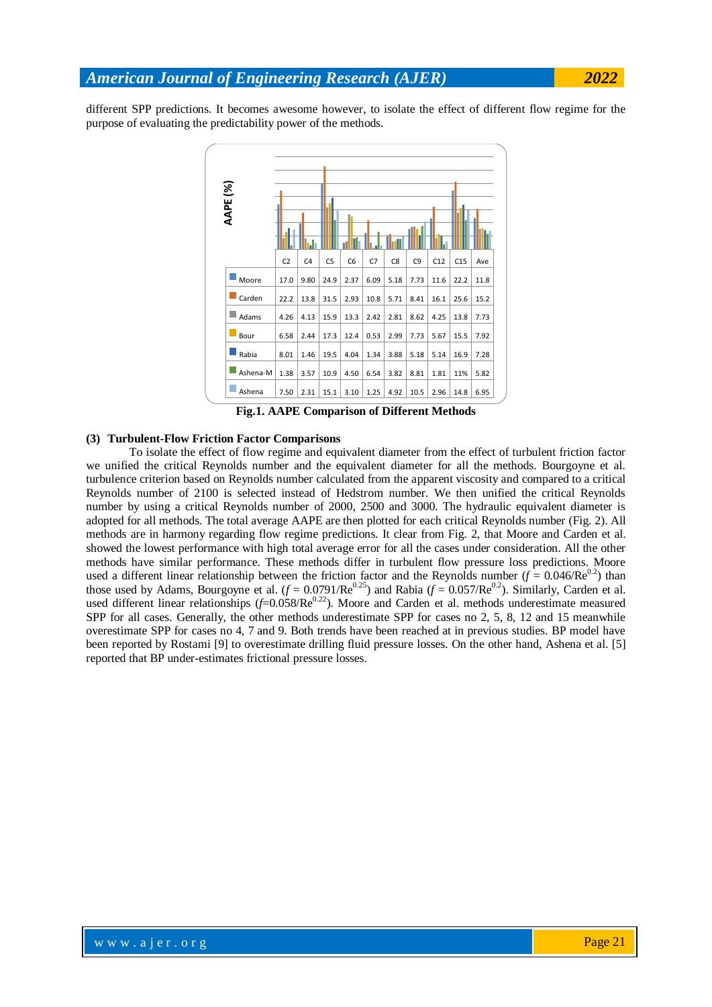different SPP predictions. It becomes awesome however, to isolate the effect of different flow regime for the purpose of evaluating the predictability power of the methods.



**Fig.1. AAPE Comparison of Different Methods**

### **(3) Turbulent-Flow Friction Factor Comparisons**

To isolate the effect of flow regime and equivalent diameter from the effect of turbulent friction factor we unified the critical Reynolds number and the equivalent diameter for all the methods. Bourgoyne et al. turbulence criterion based on Reynolds number calculated from the apparent viscosity and compared to a critical Reynolds number of 2100 is selected instead of Hedstrom number. We then unified the critical Reynolds number by using a critical Reynolds number of 2000, 2500 and 3000. The hydraulic equivalent diameter is adopted for all methods. The total average AAPE are then plotted for each critical Reynolds number (Fig. 2). All methods are in harmony regarding flow regime predictions. It clear from Fig. 2, that Moore and Carden et al. showed the lowest performance with high total average error for all the cases under consideration. All the other methods have similar performance. These methods differ in turbulent flow pressure loss predictions. Moore used a different linear relationship between the friction factor and the Reynolds number ( $f = 0.046$ /Re<sup>0.2</sup>) than those used by Adams, Bourgoyne et al.  $(f = 0.0791/Re^{0.25})$  and Rabia  $(f = 0.057/Re^{0.2})$ . Similarly, Carden et al. used different linear relationships  $(f=0.058/Re^{0.22})$ . Moore and Carden et al. methods underestimate measured SPP for all cases. Generally, the other methods underestimate SPP for cases no 2, 5, 8, 12 and 15 meanwhile overestimate SPP for cases no 4, 7 and 9. Both trends have been reached at in previous studies. BP model have been reported by Rostami [9] to overestimate drilling fluid pressure losses. On the other hand, Ashena et al. [5] reported that BP under-estimates frictional pressure losses.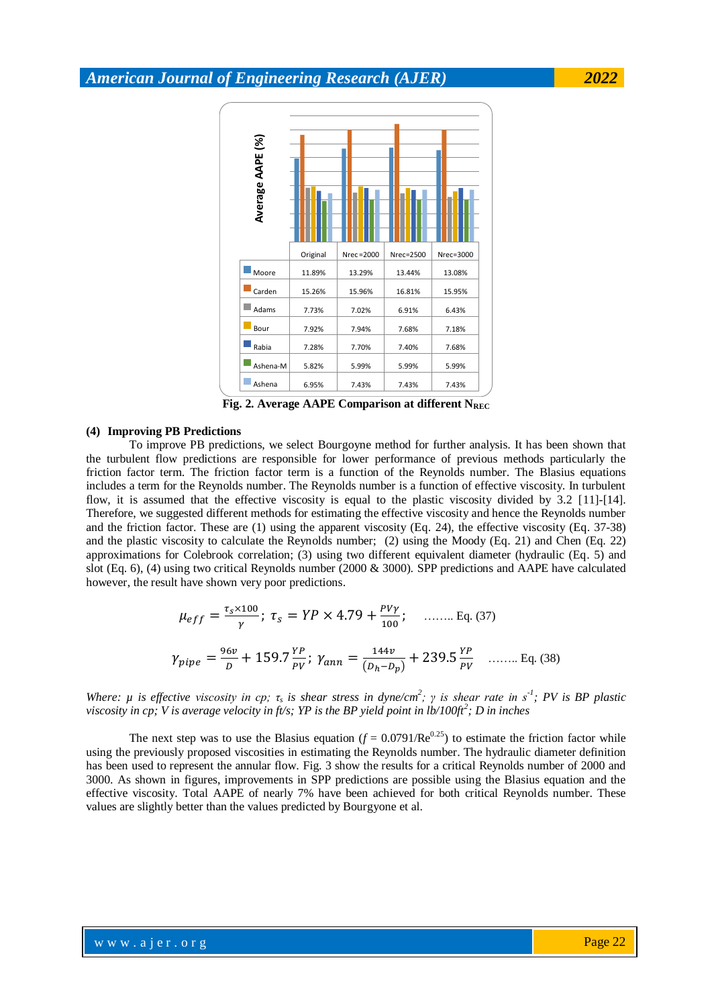

Fig. 2. Average AAPE Comparison at different N<sub>REC</sub>

#### **(4) Improving PB Predictions**

To improve PB predictions, we select Bourgoyne method for further analysis. It has been shown that the turbulent flow predictions are responsible for lower performance of previous methods particularly the friction factor term. The friction factor term is a function of the Reynolds number. The Blasius equations includes a term for the Reynolds number. The Reynolds number is a function of effective viscosity. In turbulent flow, it is assumed that the effective viscosity is equal to the plastic viscosity divided by 3.2 [11]-[14]. Therefore, we suggested different methods for estimating the effective viscosity and hence the Reynolds number and the friction factor. These are (1) using the apparent viscosity (Eq. 24), the effective viscosity (Eq. 37-38) and the plastic viscosity to calculate the Reynolds number; (2) using the Moody (Eq. 21) and Chen (Eq. 22) approximations for Colebrook correlation; (3) using two different equivalent diameter (hydraulic (Eq. 5) and slot (Eq. 6), (4) using two critical Reynolds number (2000 & 3000). SPP predictions and AAPE have calculated however, the result have shown very poor predictions.

$$
\mu_{eff} = \frac{\tau_s \times 100}{\gamma}; \ \tau_s = YP \times 4.79 + \frac{PV\gamma}{100}; \quad \dots \dots \text{ Eq. (37)}
$$

$$
\gamma_{pipe} = \frac{96\nu}{D} + 159.7 \frac{YP}{PV}; \ \gamma_{ann} = \frac{144\nu}{(D_h - D_p)} + 239.5 \frac{YP}{PV} \quad \dots \dots \text{ Eq. (38)}
$$

*Where: μ is effective viscosity in cp; τ<sub><i>s*</sub> is shear stress in dyne/cm<sup>2</sup>; γ is shear rate in s<sup>-1</sup>; PV is BP plastic *viscosity in cp; V is average velocity in ft/s; YP is the BP yield point in lb/100ft<sup>2</sup> ; D in inches*

The next step was to use the Blasius equation  $(f = 0.0791/Re^{0.25})$  to estimate the friction factor while using the previously proposed viscosities in estimating the Reynolds number. The hydraulic diameter definition has been used to represent the annular flow. Fig. 3 show the results for a critical Reynolds number of 2000 and 3000. As shown in figures, improvements in SPP predictions are possible using the Blasius equation and the effective viscosity. Total AAPE of nearly 7% have been achieved for both critical Reynolds number. These values are slightly better than the values predicted by Bourgyone et al.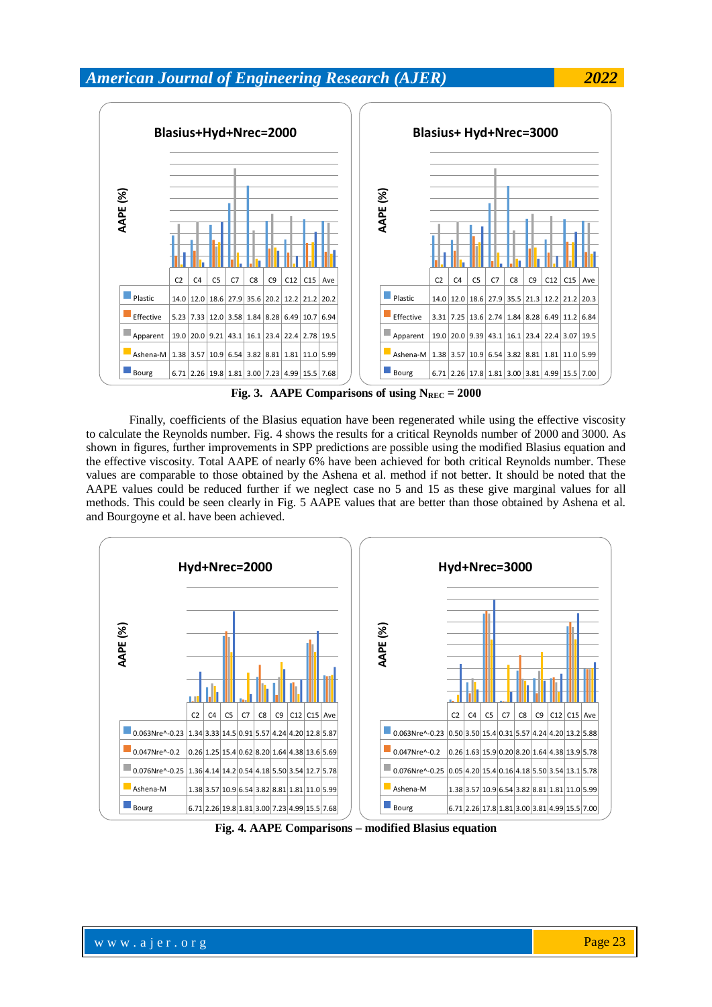

**Fig. 3.** AAPE Comparisons of using  $N_{REC} = 2000$ 

Finally, coefficients of the Blasius equation have been regenerated while using the effective viscosity to calculate the Reynolds number. Fig. 4 shows the results for a critical Reynolds number of 2000 and 3000. As shown in figures, further improvements in SPP predictions are possible using the modified Blasius equation and the effective viscosity. Total AAPE of nearly 6% have been achieved for both critical Reynolds number. These values are comparable to those obtained by the Ashena et al. method if not better. It should be noted that the AAPE values could be reduced further if we neglect case no 5 and 15 as these give marginal values for all methods. This could be seen clearly in Fig. 5 AAPE values that are better than those obtained by Ashena et al. and Bourgoyne et al. have been achieved.



**Fig. 4. AAPE Comparisons – modified Blasius equation**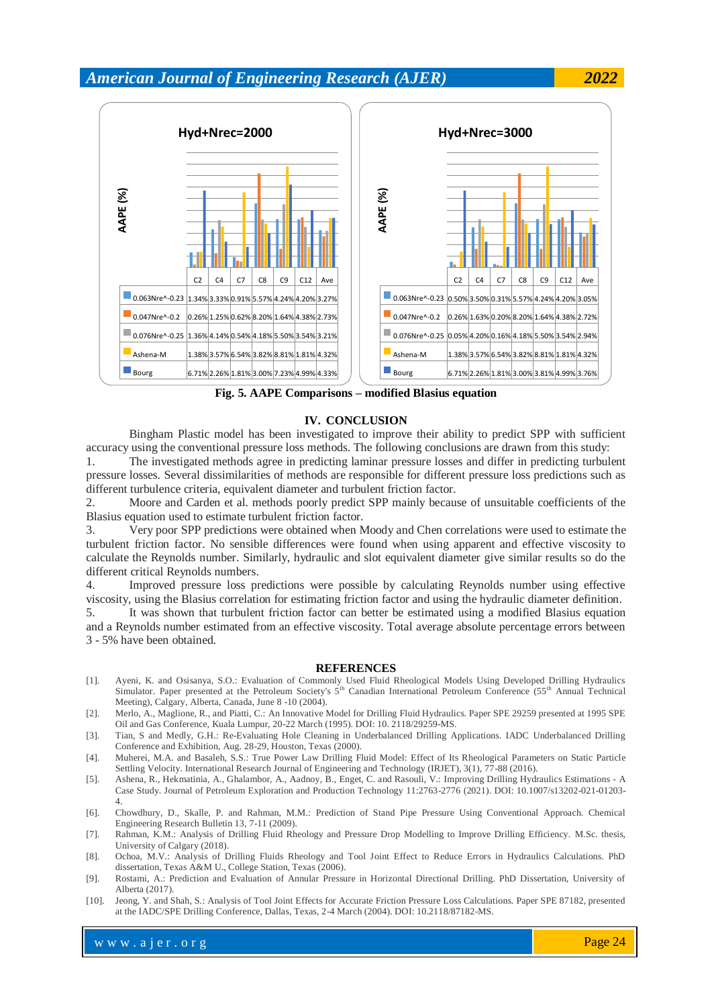

**Fig. 5. AAPE Comparisons – modified Blasius equation**

### **IV. CONCLUSION**

Bingham Plastic model has been investigated to improve their ability to predict SPP with sufficient accuracy using the conventional pressure loss methods. The following conclusions are drawn from this study:

1. The investigated methods agree in predicting laminar pressure losses and differ in predicting turbulent pressure losses. Several dissimilarities of methods are responsible for different pressure loss predictions such as different turbulence criteria, equivalent diameter and turbulent friction factor.

2. Moore and Carden et al. methods poorly predict SPP mainly because of unsuitable coefficients of the Blasius equation used to estimate turbulent friction factor.

3. Very poor SPP predictions were obtained when Moody and Chen correlations were used to estimate the turbulent friction factor. No sensible differences were found when using apparent and effective viscosity to calculate the Reynolds number. Similarly, hydraulic and slot equivalent diameter give similar results so do the different critical Reynolds numbers.

4. Improved pressure loss predictions were possible by calculating Reynolds number using effective viscosity, using the Blasius correlation for estimating friction factor and using the hydraulic diameter definition.

5. It was shown that turbulent friction factor can better be estimated using a modified Blasius equation and a Reynolds number estimated from an effective viscosity. Total average absolute percentage errors between 3 - 5% have been obtained.

#### **REFERENCES**

- [1]. Ayeni, K. and Osisanya, S.O.: Evaluation of Commonly Used Fluid Rheological Models Using Developed Drilling Hydraulics Simulator. Paper presented at the Petroleum Society's  $5<sup>th</sup>$  Canadian International Petroleum Conference  $(55<sup>th</sup>$  Annual Technical Meeting), Calgary, Alberta, Canada, June 8 -10 (2004).
- [2]. Merlo, A., Maglione, R., and Piatti, C.: An Innovative Model for Drilling Fluid Hydraulics. Paper SPE 29259 presented at 1995 SPE Oil and Gas Conference, Kuala Lumpur, 20-22 March (1995). DOI: 10. 2118/29259-MS.
- [3]. Tian, S and Medly, G.H.: Re-Evaluating Hole Cleaning in Underbalanced Drilling Applications. IADC Underbalanced Drilling Conference and Exhibition, Aug. 28-29, Houston, Texas (2000).
- [4]. Muherei, M.A. and Basaleh, S.S.: True Power Law Drilling Fluid Model: Effect of Its Rheological Parameters on Static Particle Settling Velocity. International Research Journal of Engineering and Technology (IRJET), 3(1), 77-88 (2016).
- [5]. Ashena, R., Hekmatinia, A., Ghalambor, A., Aadnoy, B., Enget, C. and Rasouli, V.: Improving Drilling Hydraulics Estimations A Case Study. Journal of Petroleum Exploration and Production Technology 11:2763-2776 (2021). DOI: 10.1007/s13202-021-01203- 4.
- [6]. Chowdhury, D., Skalle, P. and Rahman, M.M.: Prediction of Stand Pipe Pressure Using Conventional Approach. Chemical Engineering Research Bulletin 13, 7-11 (2009).
- [7]. Rahman, K.M.: Analysis of Drilling Fluid Rheology and Pressure Drop Modelling to Improve Drilling Efficiency. M.Sc. thesis, University of Calgary (2018).
- [8]. Ochoa, M.V.: Analysis of Drilling Fluids Rheology and Tool Joint Effect to Reduce Errors in Hydraulics Calculations. PhD dissertation, Texas A&M U., College Station, Texas (2006).
- [9]. Rostami, A.: Prediction and Evaluation of Annular Pressure in Horizontal Directional Drilling. PhD Dissertation, University of Alberta (2017).
- [10]. Jeong, Y. and Shah, S.: Analysis of Tool Joint Effects for Accurate Friction Pressure Loss Calculations. Paper SPE 87182, presented at the IADC/SPE Drilling Conference, Dallas, Texas, 2-4 March (2004). DOI: 10.2118/87182-MS.

www.ajer.org